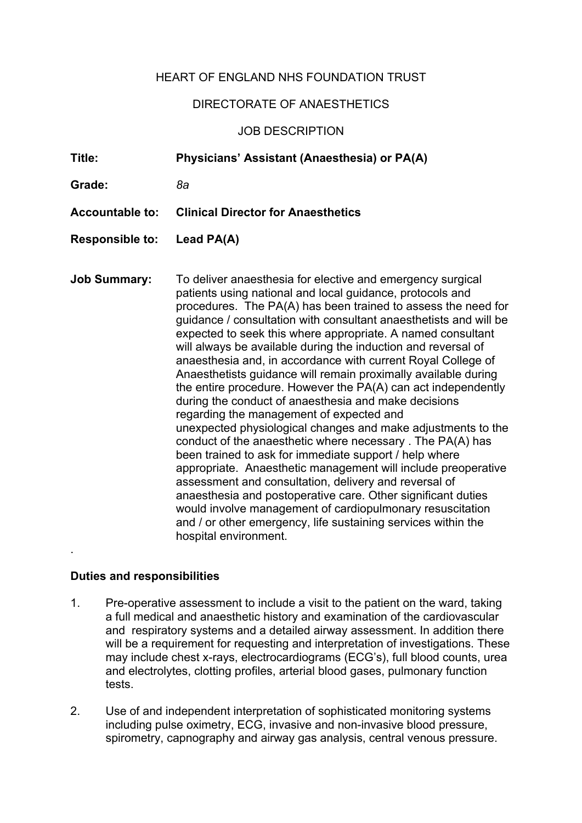## HEART OF ENGLAND NHS FOUNDATION TRUST

## DIRECTORATE OF ANAESTHETICS

## JOB DESCRIPTION

**Title: Physicians' Assistant (Anaesthesia) or PA(A) Grade:** *8a* **Accountable to: Clinical Director for Anaesthetics Responsible to: Lead PA(A) Job Summary:** To deliver anaesthesia for elective and emergency surgical patients using national and local guidance, protocols and procedures. The PA(A) has been trained to assess the need for guidance / consultation with consultant anaesthetists and will be expected to seek this where appropriate. A named consultant will always be available during the induction and reversal of anaesthesia and, in accordance with current Royal College of Anaesthetists guidance will remain proximally available during the entire procedure. However the PA(A) can act independently during the conduct of anaesthesia and make decisions regarding the management of expected and unexpected physiological changes and make adjustments to the conduct of the anaesthetic where necessary . The PA(A) has been trained to ask for immediate support / help where appropriate. Anaesthetic management will include preoperative assessment and consultation, delivery and reversal of anaesthesia and postoperative care. Other significant duties would involve management of cardiopulmonary resuscitation and / or other emergency, life sustaining services within the hospital environment. .

## **Duties and responsibilities**

- 1. Pre-operative assessment to include a visit to the patient on the ward, taking a full medical and anaesthetic history and examination of the cardiovascular and respiratory systems and a detailed airway assessment. In addition there will be a requirement for requesting and interpretation of investigations. These may include chest x-rays, electrocardiograms (ECG's), full blood counts, urea and electrolytes, clotting profiles, arterial blood gases, pulmonary function tests.
- 2. Use of and independent interpretation of sophisticated monitoring systems including pulse oximetry, ECG, invasive and non-invasive blood pressure, spirometry, capnography and airway gas analysis, central venous pressure.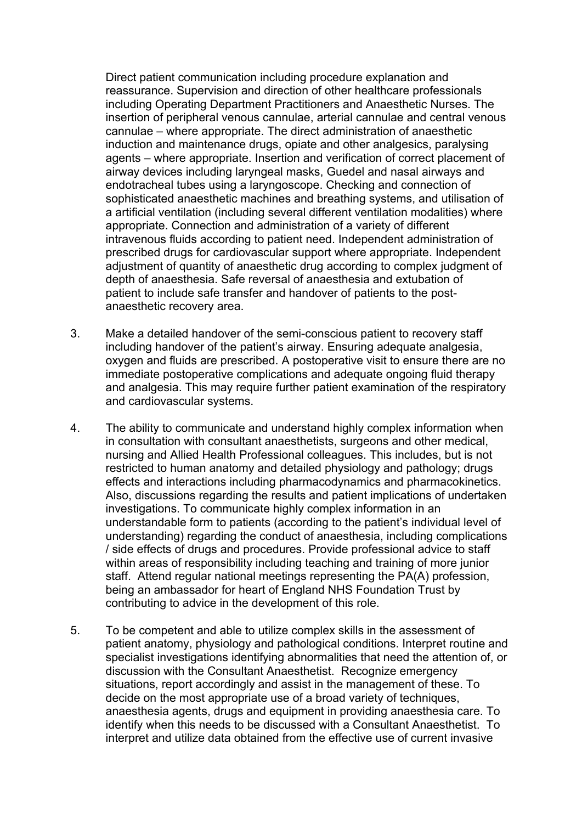Direct patient communication including procedure explanation and reassurance. Supervision and direction of other healthcare professionals including Operating Department Practitioners and Anaesthetic Nurses. The insertion of peripheral venous cannulae, arterial cannulae and central venous cannulae – where appropriate. The direct administration of anaesthetic induction and maintenance drugs, opiate and other analgesics, paralysing agents – where appropriate. Insertion and verification of correct placement of airway devices including laryngeal masks, Guedel and nasal airways and endotracheal tubes using a laryngoscope. Checking and connection of sophisticated anaesthetic machines and breathing systems, and utilisation of a artificial ventilation (including several different ventilation modalities) where appropriate. Connection and administration of a variety of different intravenous fluids according to patient need. Independent administration of prescribed drugs for cardiovascular support where appropriate. Independent adjustment of quantity of anaesthetic drug according to complex judgment of depth of anaesthesia. Safe reversal of anaesthesia and extubation of patient to include safe transfer and handover of patients to the postanaesthetic recovery area.

- 3. Make a detailed handover of the semi-conscious patient to recovery staff including handover of the patient's airway. Ensuring adequate analgesia, oxygen and fluids are prescribed. A postoperative visit to ensure there are no immediate postoperative complications and adequate ongoing fluid therapy and analgesia. This may require further patient examination of the respiratory and cardiovascular systems.
- 4. The ability to communicate and understand highly complex information when in consultation with consultant anaesthetists, surgeons and other medical, nursing and Allied Health Professional colleagues. This includes, but is not restricted to human anatomy and detailed physiology and pathology; drugs effects and interactions including pharmacodynamics and pharmacokinetics. Also, discussions regarding the results and patient implications of undertaken investigations. To communicate highly complex information in an understandable form to patients (according to the patient's individual level of understanding) regarding the conduct of anaesthesia, including complications / side effects of drugs and procedures. Provide professional advice to staff within areas of responsibility including teaching and training of more junior staff. Attend regular national meetings representing the PA(A) profession, being an ambassador for heart of England NHS Foundation Trust by contributing to advice in the development of this role.
- 5. To be competent and able to utilize complex skills in the assessment of patient anatomy, physiology and pathological conditions. Interpret routine and specialist investigations identifying abnormalities that need the attention of, or discussion with the Consultant Anaesthetist. Recognize emergency situations, report accordingly and assist in the management of these. To decide on the most appropriate use of a broad variety of techniques, anaesthesia agents, drugs and equipment in providing anaesthesia care. To identify when this needs to be discussed with a Consultant Anaesthetist. To interpret and utilize data obtained from the effective use of current invasive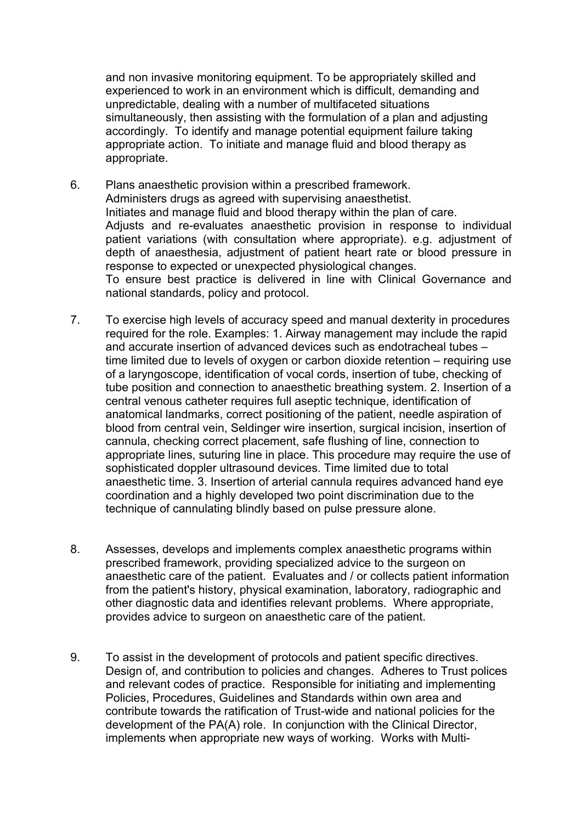and non invasive monitoring equipment. To be appropriately skilled and experienced to work in an environment which is difficult, demanding and unpredictable, dealing with a number of multifaceted situations simultaneously, then assisting with the formulation of a plan and adjusting accordingly. To identify and manage potential equipment failure taking appropriate action. To initiate and manage fluid and blood therapy as appropriate.

- 6. Plans anaesthetic provision within a prescribed framework. Administers drugs as agreed with supervising anaesthetist. Initiates and manage fluid and blood therapy within the plan of care. Adjusts and re-evaluates anaesthetic provision in response to individual patient variations (with consultation where appropriate). e.g. adjustment of depth of anaesthesia, adjustment of patient heart rate or blood pressure in response to expected or unexpected physiological changes. To ensure best practice is delivered in line with Clinical Governance and national standards, policy and protocol.
- 7. To exercise high levels of accuracy speed and manual dexterity in procedures required for the role. Examples: 1. Airway management may include the rapid and accurate insertion of advanced devices such as endotracheal tubes – time limited due to levels of oxygen or carbon dioxide retention – requiring use of a laryngoscope, identification of vocal cords, insertion of tube, checking of tube position and connection to anaesthetic breathing system. 2. Insertion of a central venous catheter requires full aseptic technique, identification of anatomical landmarks, correct positioning of the patient, needle aspiration of blood from central vein, Seldinger wire insertion, surgical incision, insertion of cannula, checking correct placement, safe flushing of line, connection to appropriate lines, suturing line in place. This procedure may require the use of sophisticated doppler ultrasound devices. Time limited due to total anaesthetic time. 3. Insertion of arterial cannula requires advanced hand eye coordination and a highly developed two point discrimination due to the technique of cannulating blindly based on pulse pressure alone.
- 8. Assesses, develops and implements complex anaesthetic programs within prescribed framework, providing specialized advice to the surgeon on anaesthetic care of the patient. Evaluates and / or collects patient information from the patient's history, physical examination, laboratory, radiographic and other diagnostic data and identifies relevant problems. Where appropriate, provides advice to surgeon on anaesthetic care of the patient.
- 9. To assist in the development of protocols and patient specific directives. Design of, and contribution to policies and changes. Adheres to Trust polices and relevant codes of practice. Responsible for initiating and implementing Policies, Procedures, Guidelines and Standards within own area and contribute towards the ratification of Trust-wide and national policies for the development of the PA(A) role. In conjunction with the Clinical Director, implements when appropriate new ways of working. Works with Multi-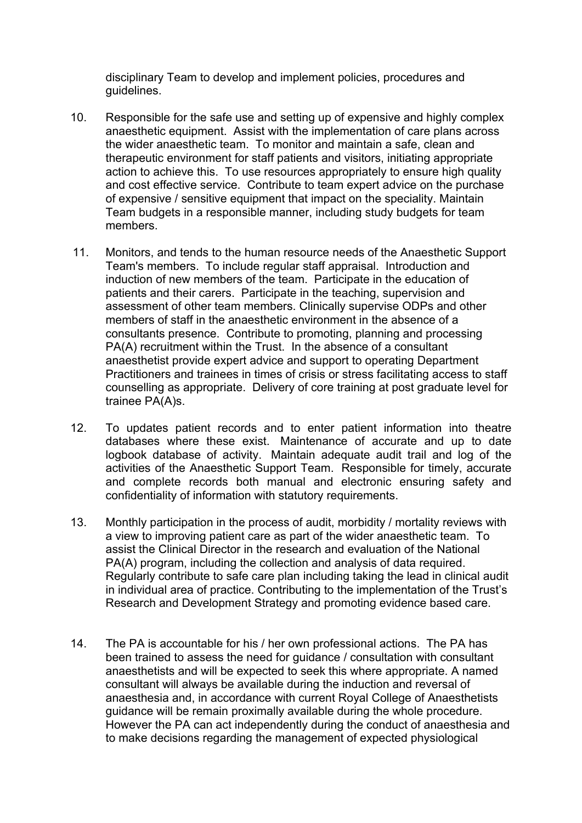disciplinary Team to develop and implement policies, procedures and guidelines.

- 10. Responsible for the safe use and setting up of expensive and highly complex anaesthetic equipment. Assist with the implementation of care plans across the wider anaesthetic team. To monitor and maintain a safe, clean and therapeutic environment for staff patients and visitors, initiating appropriate action to achieve this. To use resources appropriately to ensure high quality and cost effective service. Contribute to team expert advice on the purchase of expensive / sensitive equipment that impact on the speciality. Maintain Team budgets in a responsible manner, including study budgets for team members.
- 11. Monitors, and tends to the human resource needs of the Anaesthetic Support Team's members. To include regular staff appraisal. Introduction and induction of new members of the team. Participate in the education of patients and their carers. Participate in the teaching, supervision and assessment of other team members. Clinically supervise ODPs and other members of staff in the anaesthetic environment in the absence of a consultants presence. Contribute to promoting, planning and processing PA(A) recruitment within the Trust. In the absence of a consultant anaesthetist provide expert advice and support to operating Department Practitioners and trainees in times of crisis or stress facilitating access to staff counselling as appropriate. Delivery of core training at post graduate level for trainee PA(A)s.
- 12. To updates patient records and to enter patient information into theatre databases where these exist. Maintenance of accurate and up to date logbook database of activity. Maintain adequate audit trail and log of the activities of the Anaesthetic Support Team. Responsible for timely, accurate and complete records both manual and electronic ensuring safety and confidentiality of information with statutory requirements.
- 13. Monthly participation in the process of audit, morbidity / mortality reviews with a view to improving patient care as part of the wider anaesthetic team. To assist the Clinical Director in the research and evaluation of the National PA(A) program, including the collection and analysis of data required. Regularly contribute to safe care plan including taking the lead in clinical audit in individual area of practice. Contributing to the implementation of the Trust's Research and Development Strategy and promoting evidence based care.
- 14. The PA is accountable for his / her own professional actions. The PA has been trained to assess the need for guidance / consultation with consultant anaesthetists and will be expected to seek this where appropriate. A named consultant will always be available during the induction and reversal of anaesthesia and, in accordance with current Royal College of Anaesthetists guidance will be remain proximally available during the whole procedure. However the PA can act independently during the conduct of anaesthesia and to make decisions regarding the management of expected physiological